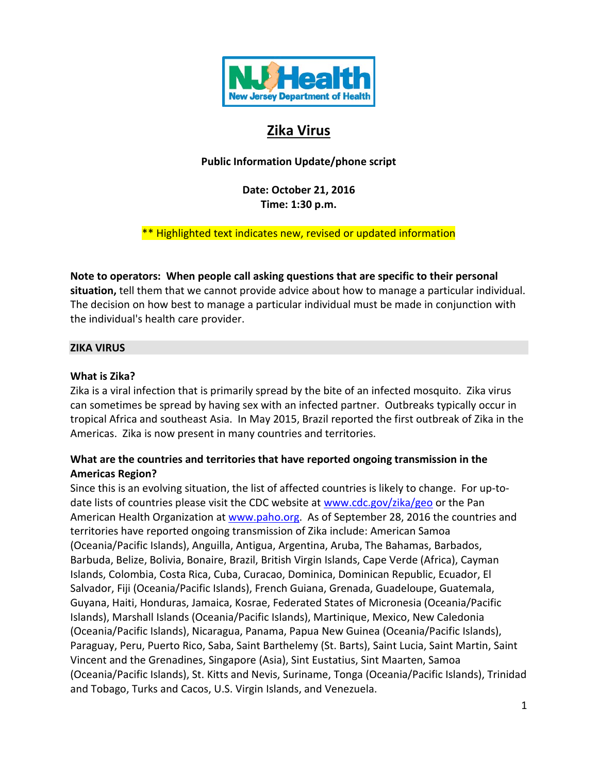

# **Zika Virus**

**Public Information Update/phone script**

**Date: October 21, 2016 Time: 1:30 p.m.**

\*\* Highlighted text indicates new, revised or updated information

**Note to operators: When people call asking questions that are specific to their personal situation,** tell them that we cannot provide advice about how to manage a particular individual. The decision on how best to manage a particular individual must be made in conjunction with the individual's health care provider.

# **ZIKA VIRUS**

### **What is Zika?**

Zika is a viral infection that is primarily spread by the bite of an infected mosquito. Zika virus can sometimes be spread by having sex with an infected partner. Outbreaks typically occur in tropical Africa and southeast Asia. In May 2015, Brazil reported the first outbreak of Zika in the Americas. Zika is now present in many countries and territories.

# **What are the countries and territories that have reported ongoing transmission in the Americas Region?**

Since this is an evolving situation, the list of affected countries is likely to change. For up-todate lists of countries please visit the CDC website at [www.cdc.gov/zika/geo](http://www.cdc.gov/zika/geo) or the Pan American Health Organization at [www.paho.org.](http://www.paho.org/) As of September 28, 2016 the countries and territories have reported ongoing transmission of Zika include: American Samoa (Oceania/Pacific Islands), Anguilla, Antigua, Argentina, Aruba, The Bahamas, Barbados, Barbuda, Belize, Bolivia, Bonaire, Brazil, British Virgin Islands, Cape Verde (Africa), Cayman Islands, Colombia, Costa Rica, Cuba, Curacao, Dominica, Dominican Republic, Ecuador, El Salvador, Fiji (Oceania/Pacific Islands), French Guiana, Grenada, Guadeloupe, Guatemala, Guyana, Haiti, Honduras, Jamaica, Kosrae, Federated States of Micronesia (Oceania/Pacific Islands), Marshall Islands (Oceania/Pacific Islands), Martinique, Mexico, New Caledonia (Oceania/Pacific Islands), Nicaragua, Panama, Papua New Guinea (Oceania/Pacific Islands), Paraguay, Peru, Puerto Rico, Saba, Saint Barthelemy (St. Barts), Saint Lucia, Saint Martin, Saint Vincent and the Grenadines, Singapore (Asia), Sint Eustatius, Sint Maarten, Samoa (Oceania/Pacific Islands), St. Kitts and Nevis, Suriname, Tonga (Oceania/Pacific Islands), Trinidad and Tobago, Turks and Cacos, U.S. Virgin Islands, and Venezuela.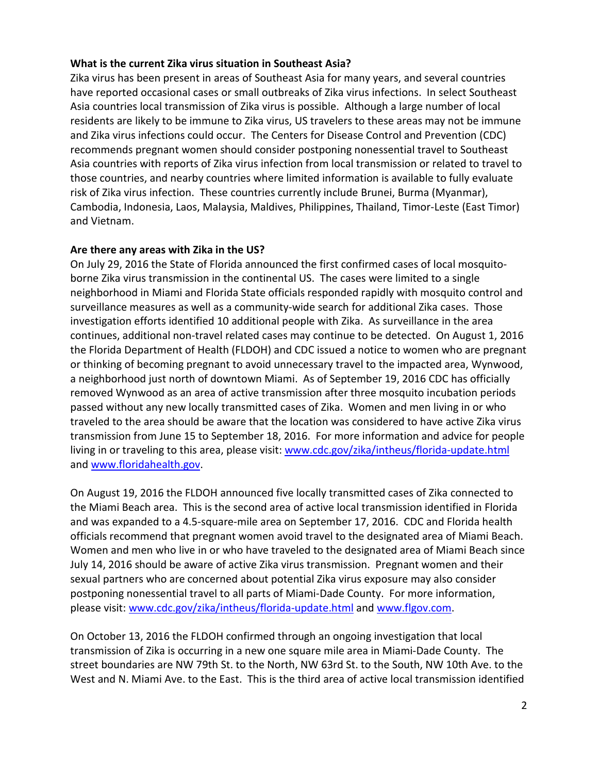### **What is the current Zika virus situation in Southeast Asia?**

Zika virus has been present in areas of Southeast Asia for many years, and several countries have reported occasional cases or small outbreaks of Zika virus infections. In select Southeast Asia countries local transmission of Zika virus is possible. Although a large number of local residents are likely to be immune to Zika virus, US travelers to these areas may not be immune and Zika virus infections could occur. The Centers for Disease Control and Prevention (CDC) recommends pregnant women should consider postponing nonessential travel to Southeast Asia countries with reports of Zika virus infection from local transmission or related to travel to those countries, and nearby countries where limited information is available to fully evaluate risk of Zika virus infection. These countries currently include Brunei, Burma (Myanmar), Cambodia, Indonesia, Laos, Malaysia, Maldives, Philippines, Thailand, Timor-Leste (East Timor) and Vietnam.

### **Are there any areas with Zika in the US?**

On July 29, 2016 the State of Florida announced the first confirmed cases of local mosquitoborne Zika virus transmission in the continental US. The cases were limited to a single neighborhood in Miami and Florida State officials responded rapidly with mosquito control and surveillance measures as well as a community-wide search for additional Zika cases. Those investigation efforts identified 10 additional people with Zika. As surveillance in the area continues, additional non-travel related cases may continue to be detected. On August 1, 2016 the Florida Department of Health (FLDOH) and CDC issued a notice to women who are pregnant or thinking of becoming pregnant to avoid unnecessary travel to the impacted area, Wynwood, a neighborhood just north of downtown Miami. As of September 19, 2016 CDC has officially removed Wynwood as an area of active transmission after three mosquito incubation periods passed without any new locally transmitted cases of Zika. Women and men living in or who traveled to the area should be aware that the location was considered to have active Zika virus transmission from June 15 to September 18, 2016. For more information and advice for people living in or traveling to this area, please visit: [www.cdc.gov/zika/intheus/florida-update.html](http://www.cdc.gov/zika/intheus/florida-update.html) and [www.floridahealth.gov.](http://www.floridahealth.gov/)

On August 19, 2016 the FLDOH announced five locally transmitted cases of Zika connected to the Miami Beach area. This is the second area of active local transmission identified in Florida and was expanded to a 4.5-square-mile area on September 17, 2016. CDC and Florida health officials recommend that pregnant women avoid travel to the designated area of Miami Beach. Women and men who live in or who have traveled to the designated area of Miami Beach since July 14, 2016 should be aware of active Zika virus transmission. Pregnant women and their sexual partners who are concerned about potential Zika virus exposure may also consider postponing nonessential travel to all parts of Miami-Dade County. For more information, please visit[: www.cdc.gov/zika/intheus/florida-update.html](http://www.cdc.gov/zika/intheus/florida-update.html) and [www.flgov.com.](http://www.flgov.com/)

On October 13, 2016 the FLDOH confirmed through an ongoing investigation that local transmission of Zika is occurring in a new one square mile area in Miami-Dade County. The street boundaries are NW 79th St. to the North, NW 63rd St. to the South, NW 10th Ave. to the West and N. Miami Ave. to the East. This is the third area of active local transmission identified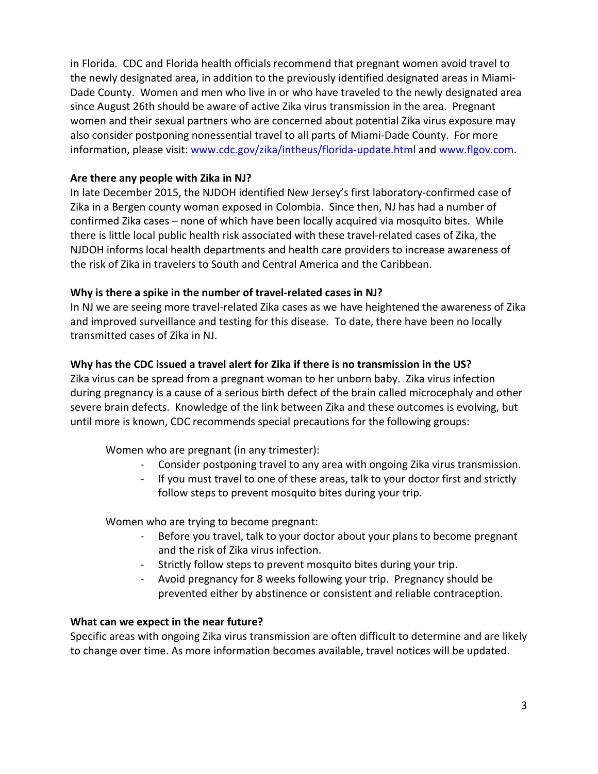in Florida. CDC and Florida health officials recommend that pregnant women avoid travel to the newly designated area, in addition to the previously identified designated areas in Miami-Dade County. Women and men who live in or who have traveled to the newly designated area since August 26th should be aware of active Zika virus transmission in the area. Pregnant women and their sexual partners who are concerned about potential Zika virus exposure may also consider postponing nonessential travel to all parts of Miami-Dade County. For more information, please visit: [www.cdc.gov/zika/intheus/florida-update.html](http://www.cdc.gov/zika/intheus/florida-update.html) and [www.flgov.com.](http://www.flgov.com/)

# **Are there any people with Zika in NJ?**

In late December 2015, the NJDOH identified New Jersey's first laboratory-confirmed case of Zika in a Bergen county woman exposed in Colombia. Since then, NJ has had a number of confirmed Zika cases – none of which have been locally acquired via mosquito bites. While there is little local public health risk associated with these travel-related cases of Zika, the NJDOH informs local health departments and health care providers to increase awareness of the risk of Zika in travelers to South and Central America and the Caribbean.

# **Why is there a spike in the number of travel-related cases in NJ?**

In NJ we are seeing more travel-related Zika cases as we have heightened the awareness of Zika and improved surveillance and testing for this disease. To date, there have been no locally transmitted cases of Zika in NJ.

# **Why has the CDC issued a travel alert for Zika if there is no transmission in the US?**

Zika virus can be spread from a pregnant woman to her unborn baby. Zika virus infection during pregnancy is a cause of a serious birth defect of the brain called microcephaly and other severe brain defects. Knowledge of the link between Zika and these outcomes is evolving, but until more is known, CDC recommends special precautions for the following groups:

Women who are pregnant (in any trimester):

- Consider postponing travel to any area with ongoing Zika virus transmission.
- If you must travel to one of these areas, talk to your doctor first and strictly follow steps to prevent mosquito bites during your trip.

Women who are trying to become pregnant:

- Before you travel, talk to your doctor about your plans to become pregnant and the risk of Zika virus infection.
- Strictly follow steps to prevent mosquito bites during your trip.
- Avoid pregnancy for 8 weeks following your trip. Pregnancy should be prevented either by abstinence or consistent and reliable contraception.

# **What can we expect in the near future?**

Specific areas with ongoing Zika virus transmission are often difficult to determine and are likely to change over time. As more information becomes available, travel notices will be updated.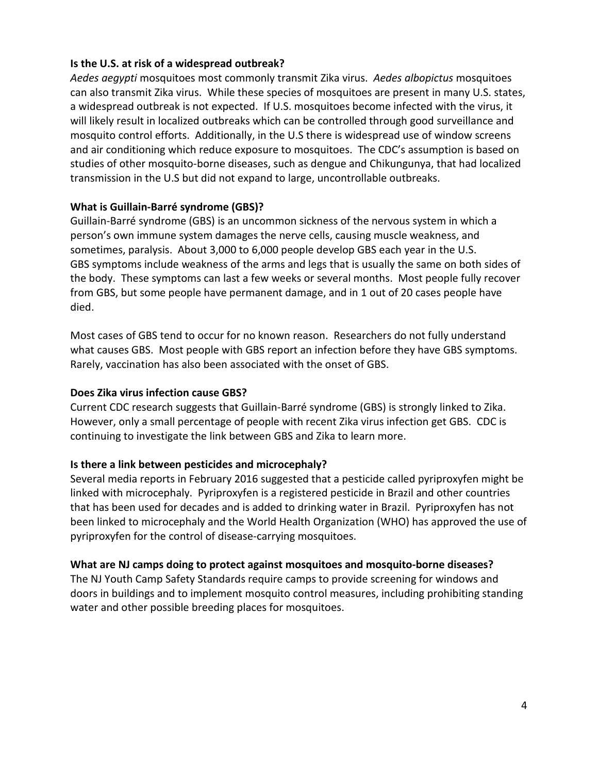### **Is the U.S. at risk of a widespread outbreak?**

*Aedes aegypti* mosquitoes most commonly transmit Zika virus. *Aedes albopictus* mosquitoes can also transmit Zika virus. While these species of mosquitoes are present in many U.S. states, a widespread outbreak is not expected. If U.S. mosquitoes become infected with the virus, it will likely result in localized outbreaks which can be controlled through good surveillance and mosquito control efforts. Additionally, in the U.S there is widespread use of window screens and air conditioning which reduce exposure to mosquitoes. The CDC's assumption is based on studies of other mosquito-borne diseases, such as dengue and Chikungunya, that had localized transmission in the U.S but did not expand to large, uncontrollable outbreaks.

### **What is Guillain-Barré syndrome (GBS)?**

Guillain-Barré syndrome (GBS) is an uncommon sickness of the nervous system in which a person's own immune system damages the nerve cells, causing muscle weakness, and sometimes, paralysis. About 3,000 to 6,000 people develop GBS each year in the U.S. GBS symptoms include weakness of the arms and legs that is usually the same on both sides of the body. These symptoms can last a few weeks or several months. Most people fully recover from GBS, but some people have permanent damage, and in 1 out of 20 cases people have died.

Most cases of GBS tend to occur for no known reason. Researchers do not fully understand what causes GBS. Most people with GBS report an infection before they have GBS symptoms. Rarely, vaccination has also been associated with the onset of GBS.

### **Does Zika virus infection cause GBS?**

Current CDC research suggests that Guillain-Barré syndrome (GBS) is strongly linked to Zika. However, only a small percentage of people with recent Zika virus infection get GBS. CDC is continuing to investigate the link between GBS and Zika to learn more.

### **Is there a link between pesticides and microcephaly?**

Several media reports in February 2016 suggested that a pesticide called pyriproxyfen might be linked with microcephaly. Pyriproxyfen is a registered pesticide in Brazil and other countries that has been used for decades and is added to drinking water in Brazil. Pyriproxyfen has not been linked to microcephaly and the World Health Organization (WHO) has approved the use of pyriproxyfen for the control of disease-carrying mosquitoes.

### **What are NJ camps doing to protect against mosquitoes and mosquito-borne diseases?**

The NJ Youth Camp Safety Standards require camps to provide screening for windows and doors in buildings and to implement mosquito control measures, including prohibiting standing water and other possible breeding places for mosquitoes.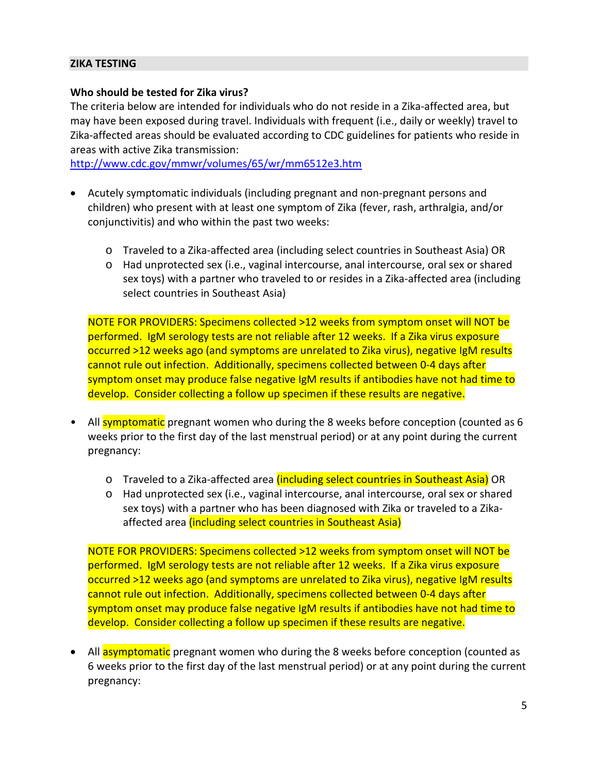#### **ZIKA TESTING**

#### **Who should be tested for Zika virus?**

The criteria below are intended for individuals who do not reside in a Zika-affected area, but may have been exposed during travel. Individuals with frequent (i.e., daily or weekly) travel to Zika-affected areas should be evaluated according to CDC guidelines for patients who reside in areas with active Zika transmission:

<http://www.cdc.gov/mmwr/volumes/65/wr/mm6512e3.htm>

- Acutely symptomatic individuals (including pregnant and non-pregnant persons and children) who present with at least one symptom of Zika (fever, rash, arthralgia, and/or conjunctivitis) and who within the past two weeks:
	- o Traveled to a Zika-affected area (including select countries in Southeast Asia) OR
	- o Had unprotected sex (i.e., vaginal intercourse, anal intercourse, oral sex or shared sex toys) with a partner who traveled to or resides in a Zika-affected area (including select countries in Southeast Asia)

NOTE FOR PROVIDERS: Specimens collected >12 weeks from symptom onset will NOT be performed. IgM serology tests are not reliable after 12 weeks. If a Zika virus exposure occurred >12 weeks ago (and symptoms are unrelated to Zika virus), negative IgM results cannot rule out infection. Additionally, specimens collected between 0-4 days after symptom onset may produce false negative IgM results if antibodies have not had time to develop. Consider collecting a follow up specimen if these results are negative.

- All symptomatic pregnant women who during the 8 weeks before conception (counted as 6 weeks prior to the first day of the last menstrual period) or at any point during the current pregnancy:
	- o Traveled to a Zika-affected area *(including select countries in Southeast Asia)* OR
	- o Had unprotected sex (i.e., vaginal intercourse, anal intercourse, oral sex or shared sex toys) with a partner who has been diagnosed with Zika or traveled to a Zikaaffected area (including select countries in Southeast Asia)

NOTE FOR PROVIDERS: Specimens collected >12 weeks from symptom onset will NOT be performed. IgM serology tests are not reliable after 12 weeks. If a Zika virus exposure occurred >12 weeks ago (and symptoms are unrelated to Zika virus), negative IgM results cannot rule out infection. Additionally, specimens collected between 0-4 days after symptom onset may produce false negative IgM results if antibodies have not had time to develop. Consider collecting a follow up specimen if these results are negative.

All **asymptomatic** pregnant women who during the 8 weeks before conception (counted as 6 weeks prior to the first day of the last menstrual period) or at any point during the current pregnancy: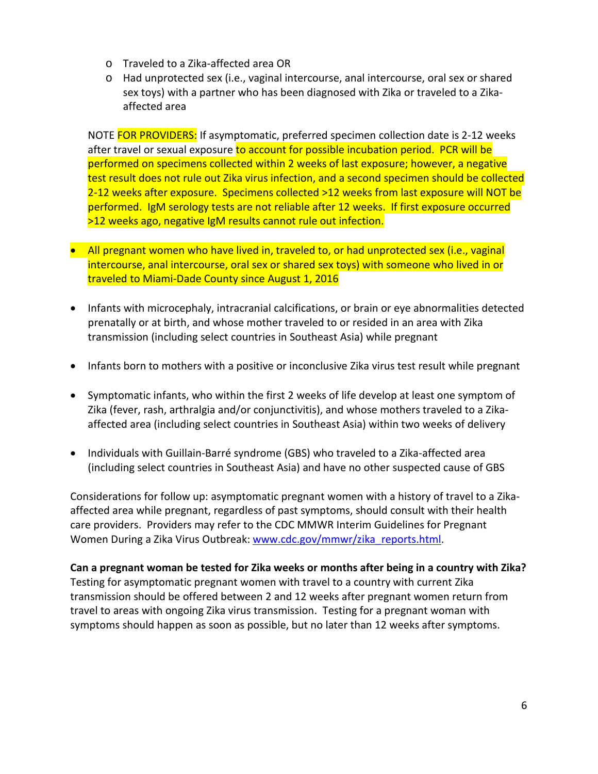- o Traveled to a Zika-affected area OR
- o Had unprotected sex (i.e., vaginal intercourse, anal intercourse, oral sex or shared sex toys) with a partner who has been diagnosed with Zika or traveled to a Zikaaffected area

NOTE FOR PROVIDERS: If asymptomatic, preferred specimen collection date is 2-12 weeks after travel or sexual exposure to account for possible incubation period. PCR will be performed on specimens collected within 2 weeks of last exposure; however, a negative test result does not rule out Zika virus infection, and a second specimen should be collected 2-12 weeks after exposure. Specimens collected >12 weeks from last exposure will NOT be performed. IgM serology tests are not reliable after 12 weeks. If first exposure occurred >12 weeks ago, negative IgM results cannot rule out infection.

- All pregnant women who have lived in, traveled to, or had unprotected sex (i.e., vaginal intercourse, anal intercourse, oral sex or shared sex toys) with someone who lived in or traveled to Miami-Dade County since August 1, 2016
- Infants with microcephaly, intracranial calcifications, or brain or eye abnormalities detected prenatally or at birth, and whose mother traveled to or resided in an area with Zika transmission (including select countries in Southeast Asia) while pregnant
- Infants born to mothers with a positive or inconclusive Zika virus test result while pregnant
- Symptomatic infants, who within the first 2 weeks of life develop at least one symptom of Zika (fever, rash, arthralgia and/or conjunctivitis), and whose mothers traveled to a Zikaaffected area (including select countries in Southeast Asia) within two weeks of delivery
- Individuals with Guillain-Barré syndrome (GBS) who traveled to a Zika-affected area (including select countries in Southeast Asia) and have no other suspected cause of GBS

Considerations for follow up: asymptomatic pregnant women with a history of travel to a Zikaaffected area while pregnant, regardless of past symptoms, should consult with their health care providers. Providers may refer to the CDC MMWR Interim Guidelines for Pregnant Women During a Zika Virus Outbreak: [www.cdc.gov/mmwr/zika\\_reports.html.](http://www.cdc.gov/mmwr/zika_reports.html)

**Can a pregnant woman be tested for Zika weeks or months after being in a country with Zika?**  Testing for asymptomatic pregnant women with travel to a country with current Zika transmission should be offered between 2 and 12 weeks after pregnant women return from travel to areas with ongoing Zika virus transmission. Testing for a pregnant woman with symptoms should happen as soon as possible, but no later than 12 weeks after symptoms.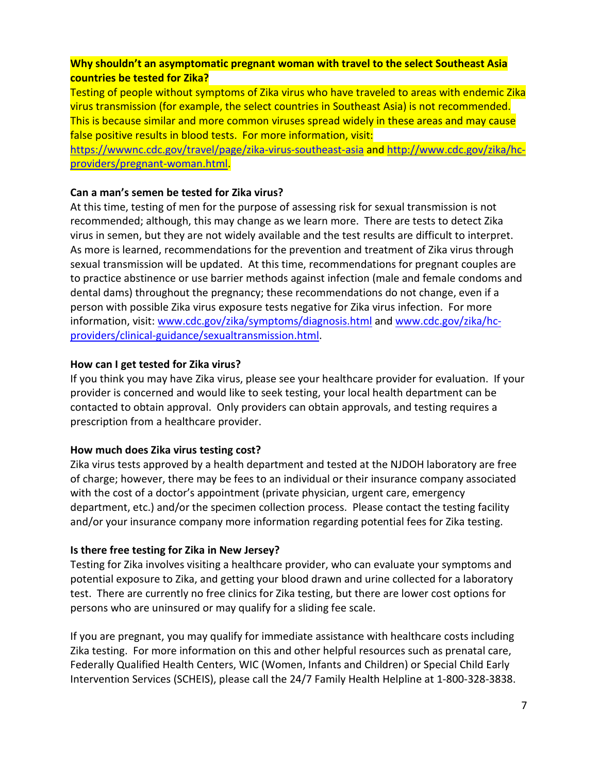# **Why shouldn't an asymptomatic pregnant woman with travel to the select Southeast Asia countries be tested for Zika?**

Testing of people without symptoms of Zika virus who have traveled to areas with endemic Zika virus transmission (for example, the select countries in Southeast Asia) is not recommended. This is because similar and more common viruses spread widely in these areas and may cause false positive results in blood tests. For more information, visit:

<https://wwwnc.cdc.gov/travel/page/zika-virus-southeast-asia> and [http://www.cdc.gov/zika/hc](http://www.cdc.gov/zika/hc-providers/pregnant-woman.html)[providers/pregnant-woman.html.](http://www.cdc.gov/zika/hc-providers/pregnant-woman.html)

### **Can a man's semen be tested for Zika virus?**

At this time, testing of men for the purpose of assessing risk for sexual transmission is not recommended; although, this may change as we learn more. There are tests to detect Zika virus in semen, but they are not widely available and the test results are difficult to interpret. As more is learned, recommendations for the prevention and treatment of Zika virus through sexual transmission will be updated. At this time, recommendations for pregnant couples are to practice abstinence or use barrier methods against infection (male and female condoms and dental dams) throughout the pregnancy; these recommendations do not change, even if a person with possible Zika virus exposure tests negative for Zika virus infection. For more information, visit: [www.cdc.gov/zika/symptoms/diagnosis.html](http://www.cdc.gov/zika/symptoms/diagnosis.html) and [www.cdc.gov/zika/hc](http://www.cdc.gov/zika/hc-providers/clinical-guidance/sexualtransmission.html)[providers/clinical-guidance/sexualtransmission.html.](http://www.cdc.gov/zika/hc-providers/clinical-guidance/sexualtransmission.html)

### **How can I get tested for Zika virus?**

If you think you may have Zika virus, please see your healthcare provider for evaluation. If your provider is concerned and would like to seek testing, your local health department can be contacted to obtain approval. Only providers can obtain approvals, and testing requires a prescription from a healthcare provider.

# **How much does Zika virus testing cost?**

Zika virus tests approved by a health department and tested at the NJDOH laboratory are free of charge; however, there may be fees to an individual or their insurance company associated with the cost of a doctor's appointment (private physician, urgent care, emergency department, etc.) and/or the specimen collection process. Please contact the testing facility and/or your insurance company more information regarding potential fees for Zika testing.

# **Is there free testing for Zika in New Jersey?**

Testing for Zika involves visiting a healthcare provider, who can evaluate your symptoms and potential exposure to Zika, and getting your blood drawn and urine collected for a laboratory test. There are currently no free clinics for Zika testing, but there are lower cost options for persons who are uninsured or may qualify for a sliding fee scale.

If you are pregnant, you may qualify for immediate assistance with healthcare costs including Zika testing. For more information on this and other helpful resources such as prenatal care, Federally Qualified Health Centers, WIC (Women, Infants and Children) or Special Child Early Intervention Services (SCHEIS), please call the 24/7 Family Health Helpline at 1-800-328-3838.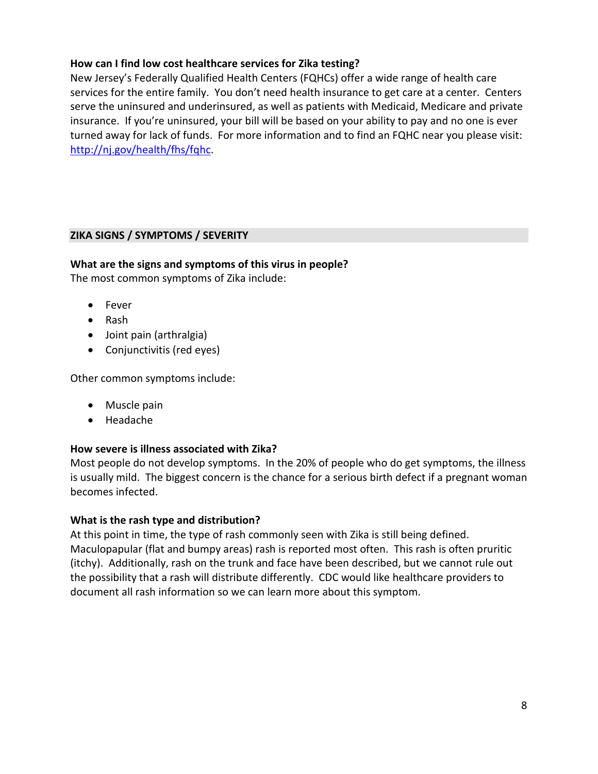# **How can I find low cost healthcare services for Zika testing?**

New Jersey's Federally Qualified Health Centers (FQHCs) offer a wide range of health care services for the entire family. You don't need health insurance to get care at a center. Centers serve the uninsured and underinsured, as well as patients with Medicaid, Medicare and private insurance. If you're uninsured, your bill will be based on your ability to pay and no one is ever turned away for lack of funds. For more information and to find an FQHC near you please visit: [http://nj.gov/health/fhs/fqhc.](http://nj.gov/health/fhs/fqhc)

# **ZIKA SIGNS / SYMPTOMS / SEVERITY**

### **What are the signs and symptoms of this virus in people?**

The most common symptoms of Zika include:

- Fever
- Rash
- Joint pain (arthralgia)
- Conjunctivitis (red eyes)

Other common symptoms include:

- Muscle pain
- Headache

### **How severe is illness associated with Zika?**

Most people do not develop symptoms. In the 20% of people who do get symptoms, the illness is usually mild. The biggest concern is the chance for a serious birth defect if a pregnant woman becomes infected.

### **What is the rash type and distribution?**

At this point in time, the type of rash commonly seen with Zika is still being defined. Maculopapular (flat and bumpy areas) rash is reported most often. This rash is often pruritic (itchy). Additionally, rash on the trunk and face have been described, but we cannot rule out the possibility that a rash will distribute differently. CDC would like healthcare providers to document all rash information so we can learn more about this symptom.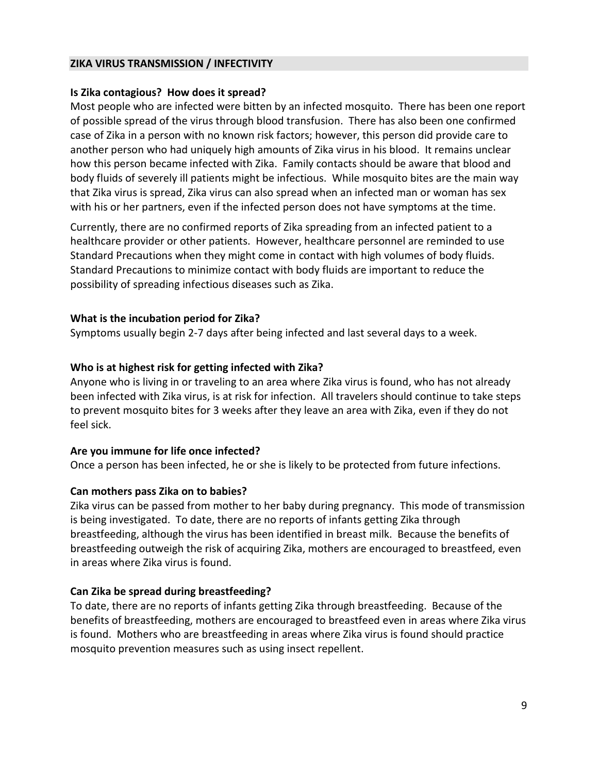#### **ZIKA VIRUS TRANSMISSION / INFECTIVITY**

#### **Is Zika contagious? How does it spread?**

Most people who are infected were bitten by an infected mosquito. There has been one report of possible spread of the virus through blood transfusion. There has also been one confirmed case of Zika in a person with no known risk factors; however, this person did provide care to another person who had uniquely high amounts of Zika virus in his blood. It remains unclear how this person became infected with Zika. Family contacts should be aware that blood and body fluids of severely ill patients might be infectious. While mosquito bites are the main way that Zika virus is spread, Zika virus can also spread when an infected man or woman has sex with his or her partners, even if the infected person does not have symptoms at the time.

Currently, there are no confirmed reports of Zika spreading from an infected patient to a healthcare provider or other patients. However, healthcare personnel are reminded to use Standard Precautions when they might come in contact with high volumes of body fluids. Standard Precautions to minimize contact with body fluids are important to reduce the possibility of spreading infectious diseases such as Zika.

#### **What is the incubation period for Zika?**

Symptoms usually begin 2-7 days after being infected and last several days to a week.

### **Who is at highest risk for getting infected with Zika?**

Anyone who is living in or traveling to an area where Zika virus is found, who has not already been infected with Zika virus, is at risk for infection. All travelers should continue to take steps to prevent mosquito bites for 3 weeks after they leave an area with Zika, even if they do not feel sick.

### **Are you immune for life once infected?**

Once a person has been infected, he or she is likely to be protected from future infections.

### **Can mothers pass Zika on to babies?**

Zika virus can be passed from mother to her baby during pregnancy. This mode of transmission is being investigated. To date, there are no reports of infants getting Zika through breastfeeding, although the virus has been identified in breast milk. Because the benefits of breastfeeding outweigh the risk of acquiring Zika, mothers are encouraged to breastfeed, even in areas where Zika virus is found.

### **Can Zika be spread during breastfeeding?**

To date, there are no reports of infants getting Zika through breastfeeding. Because of the benefits of breastfeeding, mothers are encouraged to breastfeed even in areas where Zika virus is found. Mothers who are breastfeeding in areas where Zika virus is found should practice mosquito prevention measures such as using insect repellent.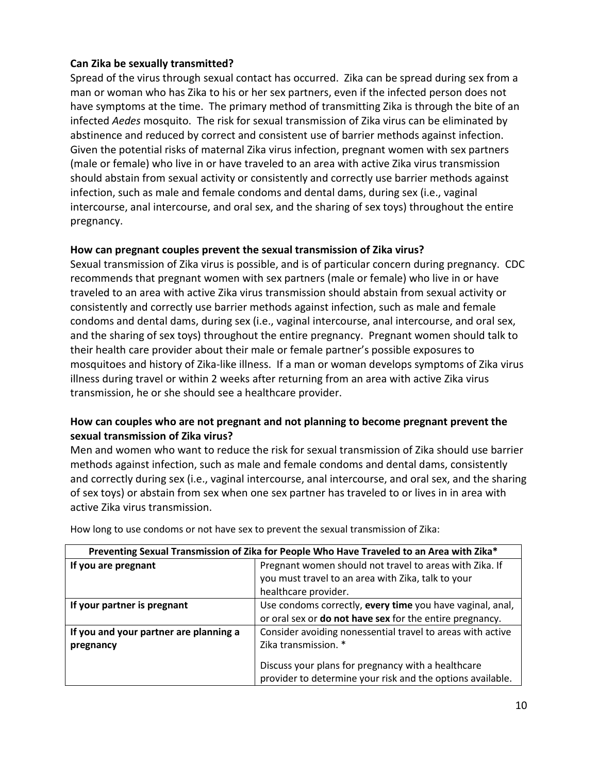# **Can Zika be sexually transmitted?**

Spread of the virus through sexual contact has occurred. Zika can be spread during sex from a man or woman who has Zika to his or her sex partners, even if the infected person does not have symptoms at the time. The primary method of transmitting Zika is through the bite of an infected *Aedes* mosquito. The risk for sexual transmission of Zika virus can be eliminated by abstinence and reduced by correct and consistent use of barrier methods against infection. Given the potential risks of maternal Zika virus infection, pregnant women with sex partners (male or female) who live in or have traveled to an area with active Zika virus transmission should abstain from sexual activity or consistently and correctly use barrier methods against infection, such as male and female condoms and dental dams, during sex (i.e., vaginal intercourse, anal intercourse, and oral sex, and the sharing of sex toys) throughout the entire pregnancy.

# **How can pregnant couples prevent the sexual transmission of Zika virus?**

Sexual transmission of Zika virus is possible, and is of particular concern during pregnancy. CDC recommends that pregnant women with sex partners (male or female) who live in or have traveled to an area with active Zika virus transmission should abstain from sexual activity or consistently and correctly use barrier methods against infection, such as male and female condoms and dental dams, during sex (i.e., vaginal intercourse, anal intercourse, and oral sex, and the sharing of sex toys) throughout the entire pregnancy. Pregnant women should talk to their health care provider about their male or female partner's possible exposures to mosquitoes and history of Zika-like illness. If a man or woman develops symptoms of Zika virus illness during travel or within 2 weeks after returning from an area with active Zika virus transmission, he or she should see a healthcare provider.

# **How can couples who are not pregnant and not planning to become pregnant prevent the sexual transmission of Zika virus?**

Men and women who want to reduce the risk for sexual transmission of Zika should use barrier methods against infection, such as male and female condoms and dental dams, consistently and correctly during sex (i.e., vaginal intercourse, anal intercourse, and oral sex, and the sharing of sex toys) or abstain from sex when one sex partner has traveled to or lives in in area with active Zika virus transmission.

| Preventing Sexual Transmission of Zika for People Who Have Traveled to an Area with Zika* |                                                                                                                  |  |
|-------------------------------------------------------------------------------------------|------------------------------------------------------------------------------------------------------------------|--|
| If you are pregnant                                                                       | Pregnant women should not travel to areas with Zika. If                                                          |  |
|                                                                                           | you must travel to an area with Zika, talk to your                                                               |  |
|                                                                                           | healthcare provider.                                                                                             |  |
| If your partner is pregnant                                                               | Use condoms correctly, every time you have vaginal, anal,                                                        |  |
|                                                                                           | or oral sex or do not have sex for the entire pregnancy.                                                         |  |
| If you and your partner are planning a                                                    | Consider avoiding nonessential travel to areas with active                                                       |  |
| pregnancy                                                                                 | Zika transmission. *                                                                                             |  |
|                                                                                           | Discuss your plans for pregnancy with a healthcare<br>provider to determine your risk and the options available. |  |

How long to use condoms or not have sex to prevent the sexual transmission of Zika: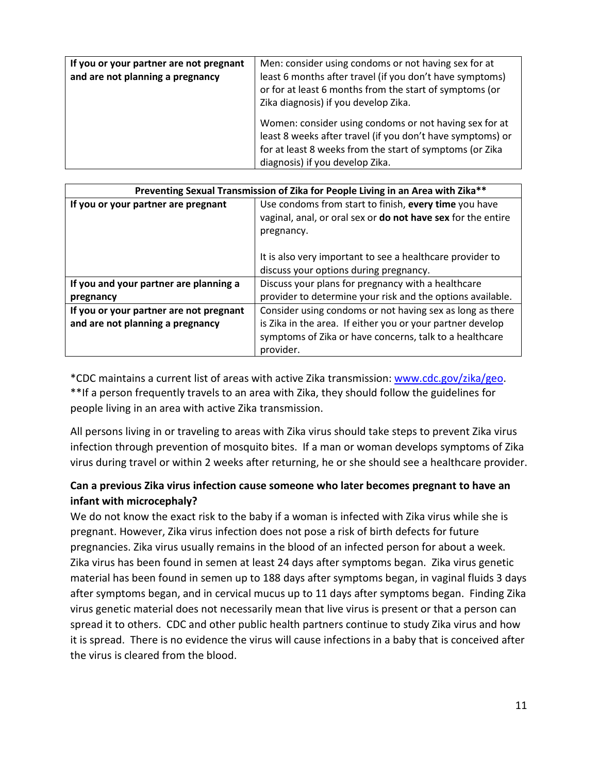| If you or your partner are not pregnant<br>and are not planning a pregnancy | Men: consider using condoms or not having sex for at<br>least 6 months after travel (if you don't have symptoms)<br>or for at least 6 months from the start of symptoms (or<br>Zika diagnosis) if you develop Zika. |
|-----------------------------------------------------------------------------|---------------------------------------------------------------------------------------------------------------------------------------------------------------------------------------------------------------------|
|                                                                             | Women: consider using condoms or not having sex for at<br>least 8 weeks after travel (if you don't have symptoms) or<br>for at least 8 weeks from the start of symptoms (or Zika<br>diagnosis) if you develop Zika. |

| Preventing Sexual Transmission of Zika for People Living in an Area with Zika** |                                                              |  |
|---------------------------------------------------------------------------------|--------------------------------------------------------------|--|
| If you or your partner are pregnant                                             | Use condoms from start to finish, every time you have        |  |
|                                                                                 | vaginal, anal, or oral sex or do not have sex for the entire |  |
|                                                                                 | pregnancy.                                                   |  |
|                                                                                 |                                                              |  |
|                                                                                 | It is also very important to see a healthcare provider to    |  |
|                                                                                 | discuss your options during pregnancy.                       |  |
| If you and your partner are planning a                                          | Discuss your plans for pregnancy with a healthcare           |  |
| pregnancy                                                                       | provider to determine your risk and the options available.   |  |
| If you or your partner are not pregnant                                         | Consider using condoms or not having sex as long as there    |  |
| and are not planning a pregnancy                                                | is Zika in the area. If either you or your partner develop   |  |
|                                                                                 | symptoms of Zika or have concerns, talk to a healthcare      |  |
|                                                                                 | provider.                                                    |  |

\*CDC maintains a current list of areas with active Zika transmission[: www.cdc.gov/zika/geo.](http://www.cdc.gov/zika/geo) \*\*If a person frequently travels to an area with Zika, they should follow the guidelines for people living in an area with active Zika transmission.

All persons living in or traveling to areas with Zika virus should take steps to prevent Zika virus infection through prevention of mosquito bites. If a man or woman develops symptoms of Zika virus during travel or within 2 weeks after returning, he or she should see a healthcare provider.

# **Can a previous Zika virus infection cause someone who later becomes pregnant to have an infant with microcephaly?**

We do not know the exact risk to the baby if a woman is infected with Zika virus while she is pregnant. However, Zika virus infection does not pose a risk of birth defects for future pregnancies. Zika virus usually remains in the blood of an infected person for about a week. Zika virus has been found in semen at least 24 days after symptoms began. Zika virus genetic material has been found in semen up to 188 days after symptoms began, in vaginal fluids 3 days after symptoms began, and in cervical mucus up to 11 days after symptoms began. Finding Zika virus genetic material does not necessarily mean that live virus is present or that a person can spread it to others. CDC and other public health partners continue to study Zika virus and how it is spread. There is no evidence the virus will cause infections in a baby that is conceived after the virus is cleared from the blood.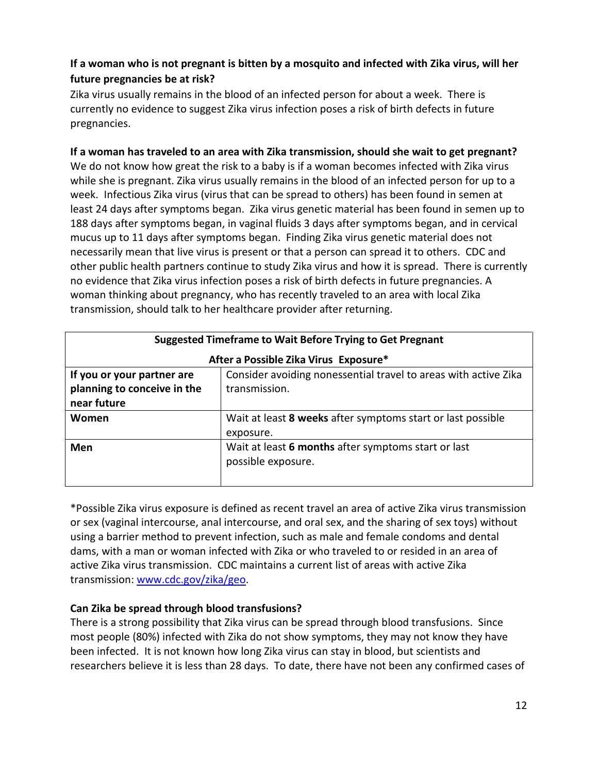# **If a woman who is not pregnant is bitten by a mosquito and infected with Zika virus, will her future pregnancies be at risk?**

Zika virus usually remains in the blood of an infected person for about a week. There is currently no evidence to suggest Zika virus infection poses a risk of birth defects in future pregnancies.

# **If a woman has traveled to an area with Zika transmission, should she wait to get pregnant?**

We do not know how great the risk to a baby is if a woman becomes infected with Zika virus while she is pregnant. Zika virus usually remains in the blood of an infected person for up to a week. Infectious Zika virus (virus that can be spread to others) has been found in semen at least 24 days after symptoms began. Zika virus genetic material has been found in semen up to 188 days after symptoms began, in vaginal fluids 3 days after symptoms began, and in cervical mucus up to 11 days after symptoms began. Finding Zika virus genetic material does not necessarily mean that live virus is present or that a person can spread it to others. CDC and other public health partners continue to study Zika virus and how it is spread. There is currently no evidence that Zika virus infection poses a risk of birth defects in future pregnancies. A woman thinking about pregnancy, who has recently traveled to an area with local Zika transmission, should talk to her healthcare provider after returning.

| <b>Suggested Timeframe to Wait Before Trying to Get Pregnant</b> |                                                                 |  |  |
|------------------------------------------------------------------|-----------------------------------------------------------------|--|--|
| After a Possible Zika Virus Exposure*                            |                                                                 |  |  |
| If you or your partner are                                       | Consider avoiding nonessential travel to areas with active Zika |  |  |
| planning to conceive in the                                      | transmission.                                                   |  |  |
| near future                                                      |                                                                 |  |  |
| Women                                                            | Wait at least 8 weeks after symptoms start or last possible     |  |  |
|                                                                  | exposure.                                                       |  |  |
| Men                                                              | Wait at least 6 months after symptoms start or last             |  |  |
|                                                                  | possible exposure.                                              |  |  |
|                                                                  |                                                                 |  |  |

\*Possible Zika virus exposure is defined as recent travel an area of active Zika virus transmission or sex (vaginal intercourse, anal intercourse, and oral sex, and the sharing of sex toys) without using a barrier method to prevent infection, such as male and female condoms and dental dams, with a man or woman infected with Zika or who traveled to or resided in an area of active Zika virus transmission. CDC maintains a current list of areas with active Zika transmission: [www.cdc.gov/zika/geo.](http://www.cdc.gov/zika/geo)

# **Can Zika be spread through blood transfusions?**

There is a strong possibility that Zika virus can be spread through blood transfusions. Since most people (80%) infected with Zika do not show symptoms, they may not know they have been infected. It is not known how long Zika virus can stay in blood, but scientists and researchers believe it is less than 28 days. To date, there have not been any confirmed cases of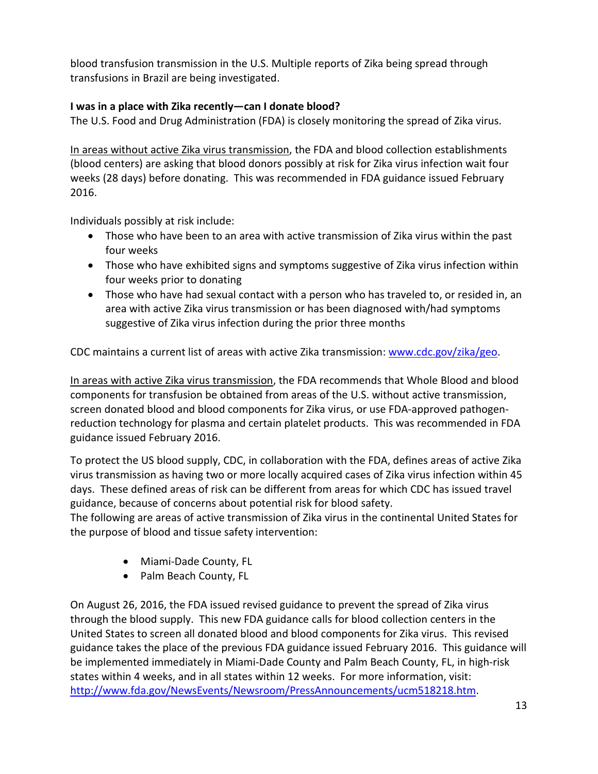blood transfusion transmission in the U.S. Multiple reports of Zika being spread through transfusions in Brazil are being investigated.

# **I was in a place with Zika recently—can I donate blood?**

The U.S. Food and Drug Administration (FDA) is closely monitoring the spread of Zika virus.

In areas without active Zika virus transmission, the FDA and blood collection establishments (blood centers) are asking that blood donors possibly at risk for Zika virus infection wait four weeks (28 days) before donating. This was recommended in FDA guidance issued February 2016.

Individuals possibly at risk include:

- Those who have been to an area with active transmission of Zika virus within the past four weeks
- Those who have exhibited signs and symptoms suggestive of Zika virus infection within four weeks prior to donating
- Those who have had sexual contact with a person who has traveled to, or resided in, an area with active Zika virus transmission or has been diagnosed with/had symptoms suggestive of Zika virus infection during the prior three months

CDC maintains a current list of areas with active Zika transmission: [www.cdc.gov/zika/geo.](http://www.cdc.gov/zika/geo)

In areas with active Zika virus transmission, the FDA recommends that Whole Blood and blood components for transfusion be obtained from areas of the U.S. without active transmission, screen donated blood and blood components for Zika virus, or use FDA-approved pathogenreduction technology for plasma and certain platelet products. This was recommended in FDA guidance issued February 2016.

To protect the US blood supply, CDC, in collaboration with the FDA, defines areas of active Zika virus transmission as having two or more locally acquired cases of Zika virus infection within 45 days. These defined areas of risk can be different from areas for which CDC has issued travel guidance, because of concerns about potential risk for blood safety.

The following are areas of active transmission of Zika virus in the continental United States for the purpose of blood and tissue safety intervention:

- Miami-Dade County, FL
- Palm Beach County, FL

On August 26, 2016, the FDA issued revised guidance to prevent the spread of Zika virus through the blood supply. This new FDA guidance calls for blood collection centers in the United States to screen all donated blood and blood components for Zika virus. This revised guidance takes the place of the previous FDA guidance issued February 2016. This guidance will be implemented immediately in Miami-Dade County and Palm Beach County, FL, in high-risk states within 4 weeks, and in all states within 12 weeks. For more information, visit: [http://www.fda.gov/NewsEvents/Newsroom/PressAnnouncements/ucm518218.htm.](http://www.fda.gov/NewsEvents/Newsroom/PressAnnouncements/ucm518218.htm)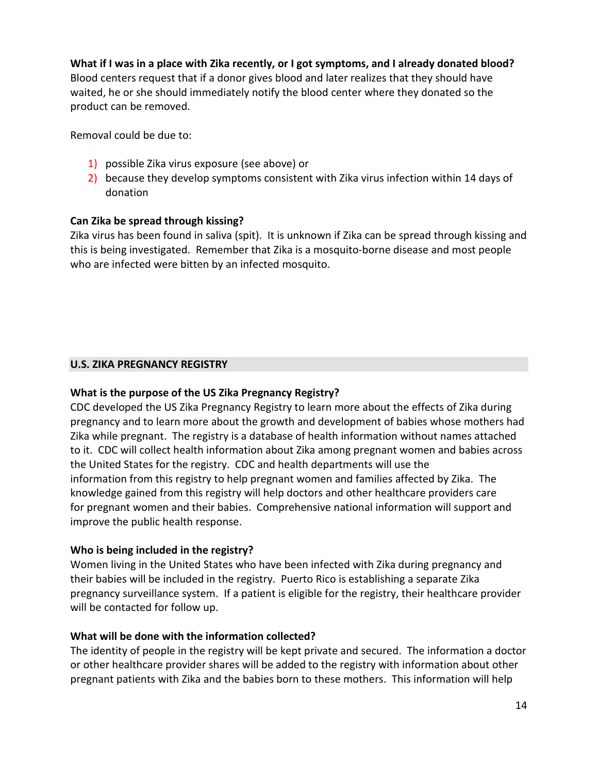# **What if I was in a place with Zika recently, or I got symptoms, and I already donated blood?**

Blood centers request that if a donor gives blood and later realizes that they should have waited, he or she should immediately notify the blood center where they donated so the product can be removed.

Removal could be due to:

- 1) possible Zika virus exposure (see above) or
- 2) because they develop symptoms consistent with Zika virus infection within 14 days of donation

### **Can Zika be spread through kissing?**

Zika virus has been found in saliva (spit). It is unknown if Zika can be spread through kissing and this is being investigated. Remember that Zika is a mosquito-borne disease and most people who are infected were bitten by an infected mosquito.

### **U.S. ZIKA PREGNANCY REGISTRY**

### **What is the purpose of the US Zika Pregnancy Registry?**

CDC developed the US Zika Pregnancy Registry to learn more about the effects of Zika during pregnancy and to learn more about the growth and development of babies whose mothers had Zika while pregnant. The registry is a database of health information without names attached to it. CDC will collect health information about Zika among pregnant women and babies across the United States for the registry. CDC and health departments will use the information from this registry to help pregnant women and families affected by Zika. The knowledge gained from this registry will help doctors and other healthcare providers care for pregnant women and their babies. Comprehensive national information will support and improve the public health response.

### **Who is being included in the registry?**

Women living in the United States who have been infected with Zika during pregnancy and their babies will be included in the registry. Puerto Rico is establishing a separate Zika pregnancy surveillance system. If a patient is eligible for the registry, their healthcare provider will be contacted for follow up.

### **What will be done with the information collected?**

The identity of people in the registry will be kept private and secured. The information a doctor or other healthcare provider shares will be added to the registry with information about other pregnant patients with Zika and the babies born to these mothers. This information will help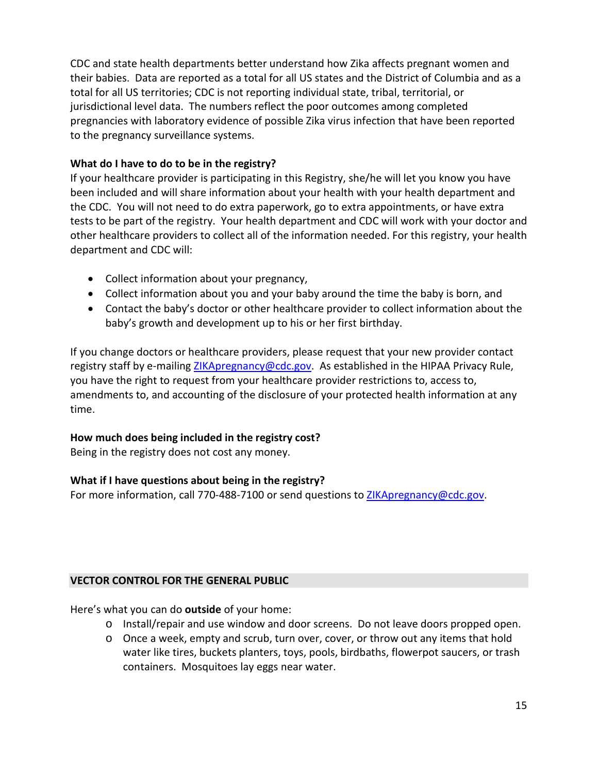CDC and state health departments better understand how Zika affects pregnant women and their babies. Data are reported as a total for all US states and the District of Columbia and as a total for all US territories; CDC is not reporting individual state, tribal, territorial, or jurisdictional level data. The numbers reflect the poor outcomes among completed pregnancies with laboratory evidence of possible Zika virus infection that have been reported to the pregnancy surveillance systems.

# **What do I have to do to be in the registry?**

If your healthcare provider is participating in this Registry, she/he will let you know you have been included and will share information about your health with your health department and the CDC. You will not need to do extra paperwork, go to extra appointments, or have extra tests to be part of the registry. Your health department and CDC will work with your doctor and other healthcare providers to collect all of the information needed. For this registry, your health department and CDC will:

- Collect information about your pregnancy,
- Collect information about you and your baby around the time the baby is born, and
- Contact the baby's doctor or other healthcare provider to collect information about the baby's growth and development up to his or her first birthday.

If you change doctors or healthcare providers, please request that your new provider contact registry staff by e-mailing [ZIKApregnancy@cdc.gov.](mailto:ZIKApregnancy@cdc.gov) As established in the HIPAA Privacy Rule, you have the right to request from your healthcare provider restrictions to, access to, amendments to, and accounting of the disclosure of your protected health information at any time.

# **How much does being included in the registry cost?**

Being in the registry does not cost any money.

# **What if I have questions about being in the registry?**

For more information, call 770-488-7100 or send questions to [ZIKApregnancy@cdc.gov.](mailto:ZIKApregnancy@cdc.gov)

# **VECTOR CONTROL FOR THE GENERAL PUBLIC**

Here's what you can do **outside** of your home:

- o Install/repair and use window and door screens. Do not leave doors propped open.
- o Once a week, empty and scrub, turn over, cover, or throw out any items that hold water like tires, buckets planters, toys, pools, birdbaths, flowerpot saucers, or trash containers. Mosquitoes lay eggs near water.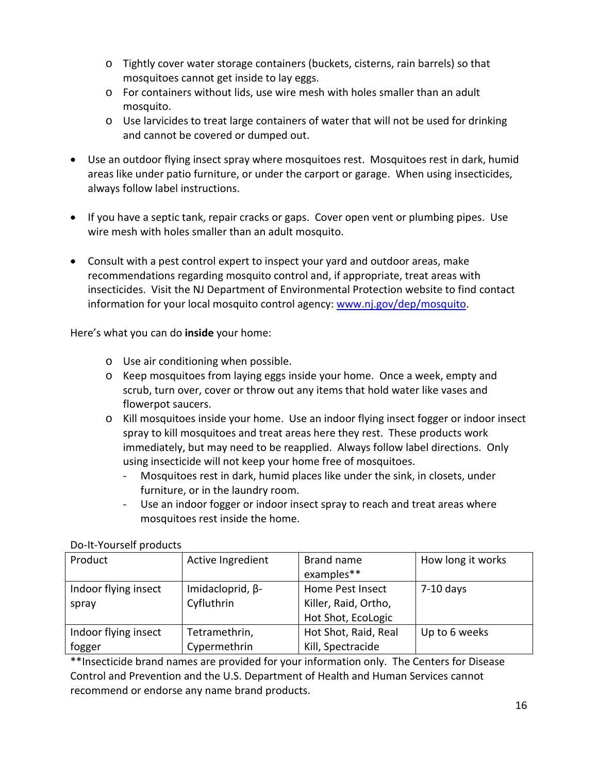- o Tightly cover water storage containers (buckets, cisterns, rain barrels) so that mosquitoes cannot get inside to lay eggs.
- o For containers without lids, use wire mesh with holes smaller than an adult mosquito.
- o Use larvicides to treat large containers of water that will not be used for drinking and cannot be covered or dumped out.
- Use an outdoor flying insect spray where mosquitoes rest. Mosquitoes rest in dark, humid areas like under patio furniture, or under the carport or garage. When using insecticides, always follow label instructions.
- If you have a septic tank, repair cracks or gaps. Cover open vent or plumbing pipes. Use wire mesh with holes smaller than an adult mosquito.
- Consult with a pest control expert to inspect your yard and outdoor areas, make recommendations regarding mosquito control and, if appropriate, treat areas with insecticides. Visit the NJ Department of Environmental Protection website to find contact information for your local mosquito control agency: [www.nj.gov/dep/mosquito.](http://www.nj.gov/dep/mosquito)

Here's what you can do **inside** your home:

- o Use air conditioning when possible.
- o Keep mosquitoes from laying eggs inside your home. Once a week, empty and scrub, turn over, cover or throw out any items that hold water like vases and flowerpot saucers.
- o Kill mosquitoes inside your home. Use an indoor flying insect fogger or indoor insect spray to kill mosquitoes and treat areas here they rest. These products work immediately, but may need to be reapplied. Always follow label directions. Only using insecticide will not keep your home free of mosquitoes.
	- Mosquitoes rest in dark, humid places like under the sink, in closets, under furniture, or in the laundry room.
	- Use an indoor fogger or indoor insect spray to reach and treat areas where mosquitoes rest inside the home.

| Product              | Active Ingredient       | Brand name           | How long it works |
|----------------------|-------------------------|----------------------|-------------------|
|                      |                         | examples**           |                   |
| Indoor flying insect | Imidacloprid, $\beta$ - | Home Pest Insect     | $7-10$ days       |
| spray                | Cyfluthrin              | Killer, Raid, Ortho, |                   |
|                      |                         | Hot Shot, EcoLogic   |                   |
| Indoor flying insect | Tetramethrin,           | Hot Shot, Raid, Real | Up to 6 weeks     |
| fogger               | Cypermethrin            | Kill, Spectracide    |                   |

# Do-It-Yourself products

\*\*Insecticide brand names are provided for your information only. The Centers for Disease Control and Prevention and the U.S. Department of Health and Human Services cannot recommend or endorse any name brand products.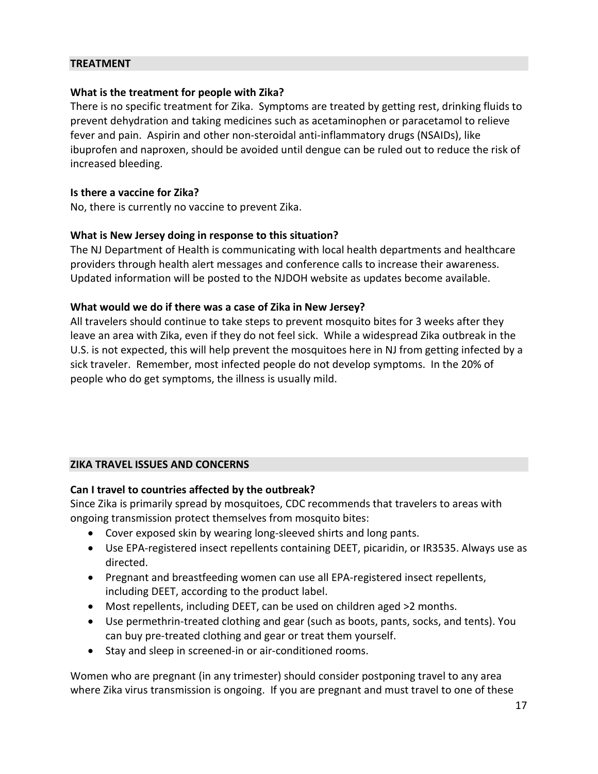#### **TREATMENT**

#### **What is the treatment for people with Zika?**

There is no specific treatment for Zika. Symptoms are treated by getting rest, drinking fluids to prevent dehydration and taking medicines such as acetaminophen or paracetamol to relieve fever and pain. Aspirin and other non-steroidal anti-inflammatory drugs (NSAIDs), like ibuprofen and naproxen, should be avoided until dengue can be ruled out to reduce the risk of increased bleeding.

#### **Is there a vaccine for Zika?**

No, there is currently no vaccine to prevent Zika.

#### **What is New Jersey doing in response to this situation?**

The NJ Department of Health is communicating with local health departments and healthcare providers through health alert messages and conference calls to increase their awareness. Updated information will be posted to the NJDOH website as updates become available.

#### **What would we do if there was a case of Zika in New Jersey?**

All travelers should continue to take steps to prevent mosquito bites for 3 weeks after they leave an area with Zika, even if they do not feel sick. While a widespread Zika outbreak in the U.S. is not expected, this will help prevent the mosquitoes here in NJ from getting infected by a sick traveler. Remember, most infected people do not develop symptoms. In the 20% of people who do get symptoms, the illness is usually mild.

### **ZIKA TRAVEL ISSUES AND CONCERNS**

### **Can I travel to countries affected by the outbreak?**

Since Zika is primarily spread by mosquitoes, CDC recommends that travelers to areas with ongoing transmission protect themselves from mosquito bites:

- Cover exposed skin by wearing long-sleeved shirts and long pants.
- Use EPA-registered insect repellents containing DEET, picaridin, or IR3535. Always use as directed.
- Pregnant and breastfeeding women can use all EPA-registered insect repellents, including DEET, according to the product label.
- Most repellents, including DEET, can be used on children aged >2 months.
- Use permethrin-treated clothing and gear (such as boots, pants, socks, and tents). You can buy pre-treated clothing and gear or treat them yourself.
- Stay and sleep in screened-in or air-conditioned rooms.

Women who are pregnant (in any trimester) should consider postponing travel to any area where Zika virus transmission is ongoing. If you are pregnant and must travel to one of these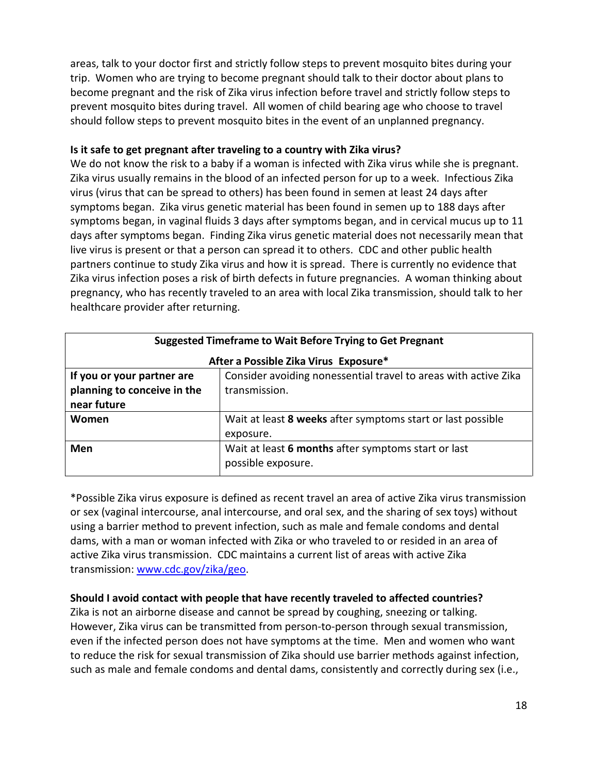areas, talk to your doctor first and strictly follow steps to prevent mosquito bites during your trip. Women who are trying to become pregnant should talk to their doctor about plans to become pregnant and the risk of Zika virus infection before travel and strictly follow steps to prevent mosquito bites during travel. All women of child bearing age who choose to travel should follow steps to prevent mosquito bites in the event of an unplanned pregnancy.

### **Is it safe to get pregnant after traveling to a country with Zika virus?**

We do not know the risk to a baby if a woman is infected with Zika virus while she is pregnant. Zika virus usually remains in the blood of an infected person for up to a week. Infectious Zika virus (virus that can be spread to others) has been found in semen at least 24 days after symptoms began. Zika virus genetic material has been found in semen up to 188 days after symptoms began, in vaginal fluids 3 days after symptoms began, and in cervical mucus up to 11 days after symptoms began. Finding Zika virus genetic material does not necessarily mean that live virus is present or that a person can spread it to others. CDC and other public health partners continue to study Zika virus and how it is spread. There is currently no evidence that Zika virus infection poses a risk of birth defects in future pregnancies. A woman thinking about pregnancy, who has recently traveled to an area with local Zika transmission, should talk to her healthcare provider after returning.

| <b>Suggested Timeframe to Wait Before Trying to Get Pregnant</b> |                                                                 |  |  |
|------------------------------------------------------------------|-----------------------------------------------------------------|--|--|
| After a Possible Zika Virus Exposure*                            |                                                                 |  |  |
| If you or your partner are                                       | Consider avoiding nonessential travel to areas with active Zika |  |  |
| planning to conceive in the                                      | transmission.                                                   |  |  |
| near future                                                      |                                                                 |  |  |
| Women                                                            | Wait at least 8 weeks after symptoms start or last possible     |  |  |
|                                                                  | exposure.                                                       |  |  |
| Men                                                              | Wait at least 6 months after symptoms start or last             |  |  |
|                                                                  | possible exposure.                                              |  |  |

\*Possible Zika virus exposure is defined as recent travel an area of active Zika virus transmission or sex (vaginal intercourse, anal intercourse, and oral sex, and the sharing of sex toys) without using a barrier method to prevent infection, such as male and female condoms and dental dams, with a man or woman infected with Zika or who traveled to or resided in an area of active Zika virus transmission. CDC maintains a current list of areas with active Zika transmission: [www.cdc.gov/zika/geo.](http://www.cdc.gov/zika/geo)

# **Should I avoid contact with people that have recently traveled to affected countries?**

Zika is not an airborne disease and cannot be spread by coughing, sneezing or talking. However, Zika virus can be transmitted from person-to-person through sexual transmission, even if the infected person does not have symptoms at the time. Men and women who want to reduce the risk for sexual transmission of Zika should use barrier methods against infection, such as male and female condoms and dental dams, consistently and correctly during sex (i.e.,